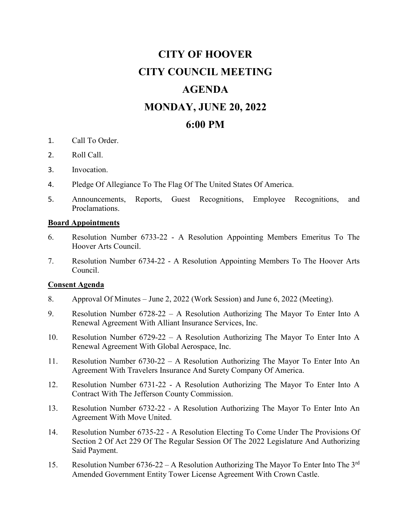# **CITY OF HOOVER CITY COUNCIL MEETING AGENDA MONDAY, JUNE 20, 2022 6:00 PM**

- 1. Call To Order.
- 2. Roll Call.
- 3. Invocation.
- 4. Pledge Of Allegiance To The Flag Of The United States Of America.
- 5. Announcements, Reports, Guest Recognitions, Employee Recognitions, and Proclamations.

#### **Board Appointments**

- 6. Resolution Number 6733-22 A Resolution Appointing Members Emeritus To The Hoover Arts Council.
- 7. Resolution Number 6734-22 A Resolution Appointing Members To The Hoover Arts Council.

#### **Consent Agenda**

- 8. Approval Of Minutes June 2, 2022 (Work Session) and June 6, 2022 (Meeting).
- 9. Resolution Number 6728-22 A Resolution Authorizing The Mayor To Enter Into A Renewal Agreement With Alliant Insurance Services, Inc.
- 10. Resolution Number 6729-22 A Resolution Authorizing The Mayor To Enter Into A Renewal Agreement With Global Aerospace, Inc.
- 11. Resolution Number 6730-22 A Resolution Authorizing The Mayor To Enter Into An Agreement With Travelers Insurance And Surety Company Of America.
- 12. Resolution Number 6731-22 A Resolution Authorizing The Mayor To Enter Into A Contract With The Jefferson County Commission.
- 13. Resolution Number 6732-22 A Resolution Authorizing The Mayor To Enter Into An Agreement With Move United.
- 14. Resolution Number 6735-22 A Resolution Electing To Come Under The Provisions Of Section 2 Of Act 229 Of The Regular Session Of The 2022 Legislature And Authorizing Said Payment.
- 15. Resolution Number 6736-22 A Resolution Authorizing The Mayor To Enter Into The  $3<sup>rd</sup>$ Amended Government Entity Tower License Agreement With Crown Castle.